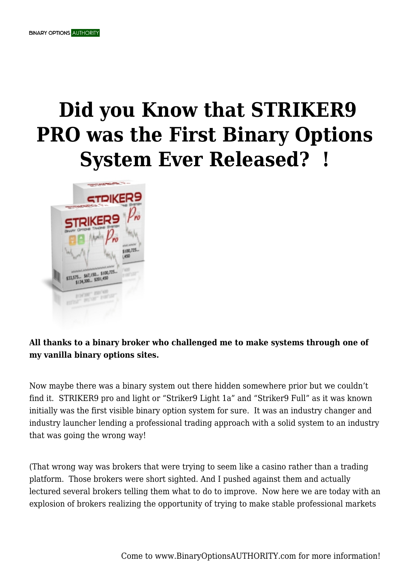## **Did you Know that STRIKER9 PRO was the First Binary Options System Ever Released? !**



## **All thanks to a binary broker who challenged me to make systems through one of my vanilla binary options sites.**

Now maybe there was a binary system out there hidden somewhere prior but we couldn't find it. STRIKER9 pro and light or "Striker9 Light 1a" and "Striker9 Full" as it was known initially was the first visible binary option system for sure. It was an industry changer and industry launcher lending a professional trading approach with a solid system to an industry that was going the wrong way!

(That wrong way was brokers that were trying to seem like a casino rather than a trading platform. Those brokers were short sighted. And I pushed against them and actually lectured several brokers telling them what to do to improve. Now here we are today with an explosion of brokers realizing the opportunity of trying to make stable professional markets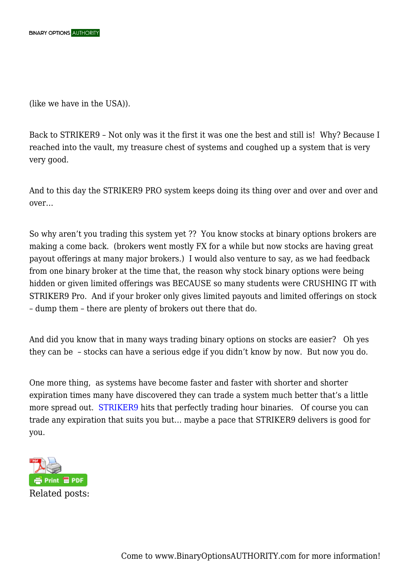(like we have in the USA)).

Back to STRIKER9 – Not only was it the first it was one the best and still is! Why? Because I reached into the vault, my treasure chest of systems and coughed up a system that is very very good.

And to this day the STRIKER9 PRO system keeps doing its thing over and over and over and over…

So why aren't you trading this system yet ?? You know stocks at binary options brokers are making a come back. (brokers went mostly FX for a while but now stocks are having great payout offerings at many major brokers.) I would also venture to say, as we had feedback from one binary broker at the time that, the reason why stock binary options were being hidden or given limited offerings was BECAUSE so many students were CRUSHING IT with STRIKER9 Pro. And if your broker only gives limited payouts and limited offerings on stock – dump them – there are plenty of brokers out there that do.

And did you know that in many ways trading binary options on stocks are easier? Oh yes they can be – stocks can have a serious edge if you didn't know by now. But now you do.

One more thing, as systems have become faster and faster with shorter and shorter expiration times many have discovered they can trade a system much better that's a little more spread out. [STRIKER9](https://binaryoptionsauthority.com/binary-option-systems/striker9-pro-stock-binary-options-system/) hits that perfectly trading hour binaries. Of course you can trade any expiration that suits you but… maybe a pace that STRIKER9 delivers is good for you.

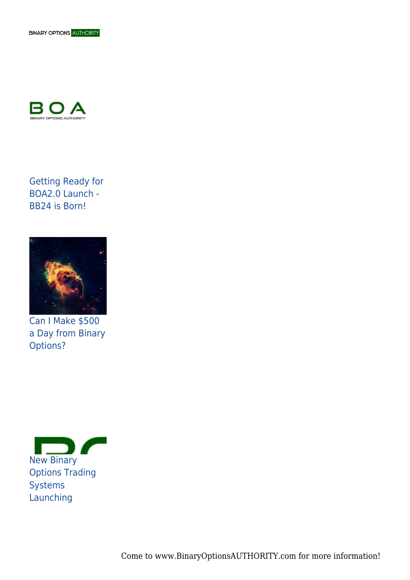



Getting Ready for BOA2.0 Launch - BB24 is Born!



Can I Make \$500 a Day from Binary Options?



Come to www.BinaryOptionsAUTHORITY.com for more information!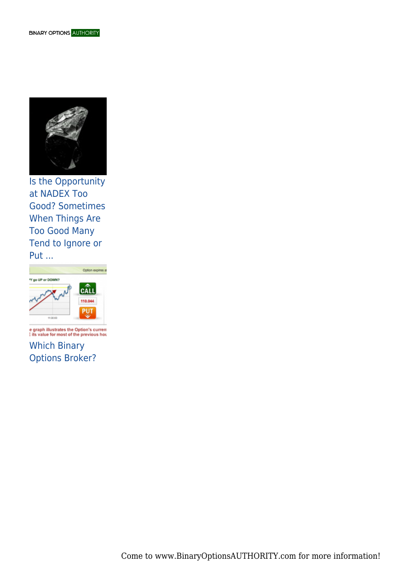

Is the Opportunity at NADEX Too Good? Sometimes When Things Are Too Good Many Tend to Ignore or Put ...



e graph illustrates the Option's current<br>: its value for most of the previous hou Which Binary Options Broker?

Come to www.BinaryOptionsAUTHORITY.com for more information!